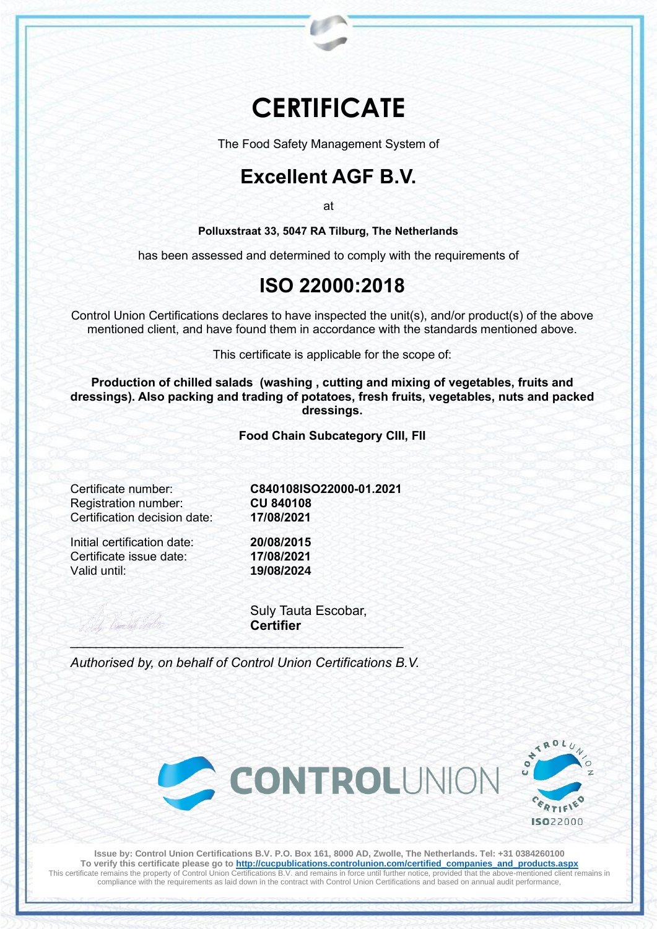# **CERTIFICATE**

The Food Safety Management System of

## **Excellent AGF B.V.**

at

**Polluxstraat 33, 5047 RA Tilburg, The Netherlands**

has been assessed and determined to comply with the requirements of

### **ISO 22000:2018**

Control Union Certifications declares to have inspected the unit(s), and/or product(s) of the above mentioned client, and have found them in accordance with the standards mentioned above.

This certificate is applicable for the scope of:

**Production of chilled salads (washing , cutting and mixing of vegetables, fruits and dressings). Also packing and trading of potatoes, fresh fruits, vegetables, nuts and packed dressings.**

**Food Chain Subcategory CIII, FII**

**Registration number:** Certification decision date: **17/08/2021**

Initial certification date: **20/08/2015** Certificate issue date: **17/08/2021** Valid until: **19/08/2024**

Certificate number: **C840108ISO22000-01.2021**

Suly Tauta Escobar, **Certifier**

*Authorised by, on behalf of Control Union Certifications B.V.*

\_\_\_\_\_\_\_\_\_\_\_\_\_\_\_\_\_\_\_\_\_\_\_\_\_\_\_\_\_\_\_\_\_\_\_\_\_\_\_\_\_\_\_\_\_\_\_\_\_\_\_\_\_





**Issue by: Control Union Certifications B.V. P.O. Box 161, 8000 AD, Zwolle, The Netherlands. Tel: +31 0384260100 To verify this certificate please go to http://cucpublications.controlunion.com/certified\_companies\_and\_products.aspx** This certificate remains the property of Control Union Certifications B.V. and remains in force until further notice, provided that the above-mentioned client remains in compliance with the requirements as laid down in the contract with Control Union Certifications and based on annual audit performance,